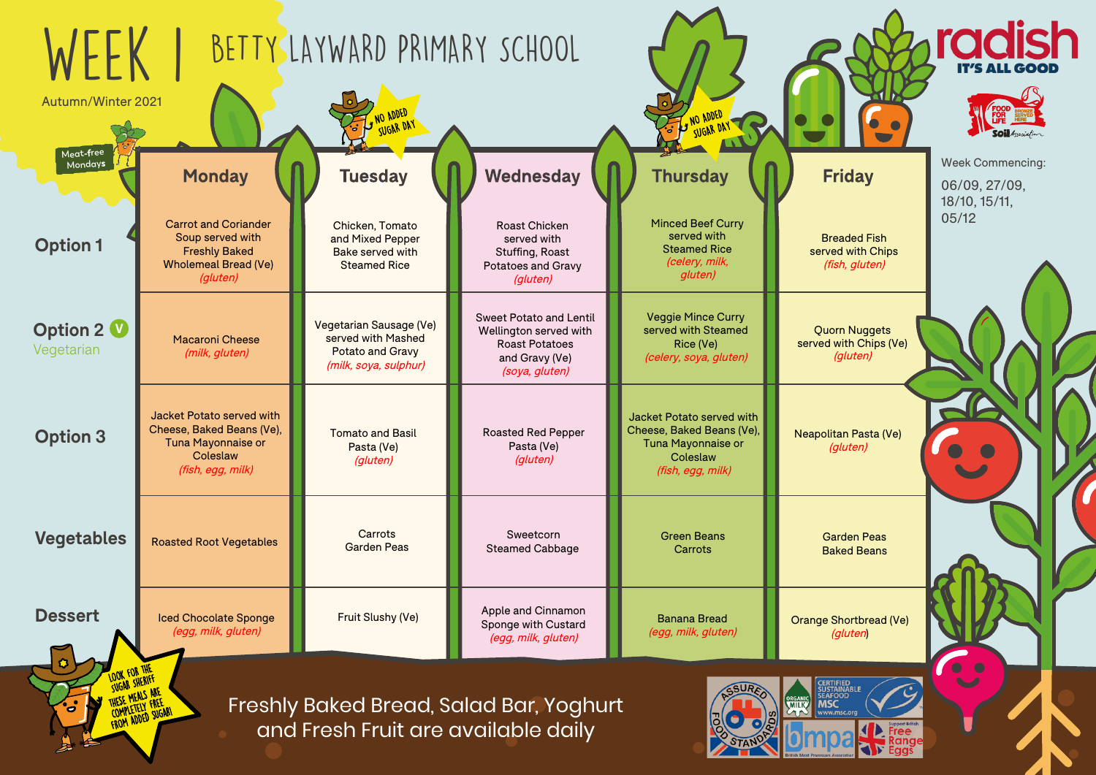Freshly Baked Bread, Salad Bar, Yoghurt and Fresh Fruit are available daily









## **riday**

Week Commencing:

06/09, 27/09, 18/10, 15/11, 05/12

readed Fish served with Chips (fish, gluten)

> Shortbread (Ve) (gluten)

> > $\bullet$   $\bullet$

itan Pasta (Ve) (gluten)

| <b>NLLK</b><br>Autumn/Winter 2021 |                                                                                                                      | BETTY LAYWARD PRIMARY SCHOOL<br>SUGAR DAY                                                  |                                                                                                                       | NO ADDED<br>SUGAR DA                                                                                                 |                                                                                                                  |
|-----------------------------------|----------------------------------------------------------------------------------------------------------------------|--------------------------------------------------------------------------------------------|-----------------------------------------------------------------------------------------------------------------------|----------------------------------------------------------------------------------------------------------------------|------------------------------------------------------------------------------------------------------------------|
| Meat-free<br>Mondays              | <b>Monday</b>                                                                                                        | <b>Tuesday</b>                                                                             | Wednesday                                                                                                             | <b>Thursday</b>                                                                                                      | <b>Friday</b>                                                                                                    |
| <b>Option 1</b>                   | <b>Carrot and Coriander</b><br>Soup served with<br><b>Freshly Baked</b><br><b>Wholemeal Bread (Ve)</b><br>(gluten)   | Chicken, Tomato<br>and Mixed Pepper<br>Bake served with<br><b>Steamed Rice</b>             | <b>Roast Chicken</b><br>served with<br>Stuffing, Roast<br><b>Potatoes and Gravy</b><br>(gluten)                       | <b>Minced Beef Curry</b><br>served with<br><b>Steamed Rice</b><br>(celery, milk,<br>gluten)                          | <b>Breaded Fish</b><br>served with Chi<br>(fish, gluten)                                                         |
| <b>Option 2 V</b><br>Vegetarian   | <b>Macaroni Cheese</b><br>(milk, gluten)                                                                             | Vegetarian Sausage (Ve)<br>served with Mashed<br>Potato and Gravy<br>(milk, soya, sulphur) | <b>Sweet Potato and Lentil</b><br>Wellington served with<br><b>Roast Potatoes</b><br>and Gravy (Ve)<br>(soya, gluten) | <b>Veggie Mince Curry</b><br>served with Steamed<br>Rice (Ve)<br>(celery, soya, gluten)                              | <b>Quorn Nugget</b><br>served with Chips<br>(gluten)                                                             |
| <b>Option 3</b>                   | Jacket Potato served with<br>Cheese, Baked Beans (Ve),<br><b>Tuna Mayonnaise or</b><br>Coleslaw<br>(fish, egg, milk) | <b>Tomato and Basil</b><br>Pasta (Ve)<br>(gluten)                                          | <b>Roasted Red Pepper</b><br>Pasta (Ve)<br>(gluten)                                                                   | Jacket Potato served with<br>Cheese, Baked Beans (Ve),<br><b>Tuna Mayonnaise or</b><br>Coleslaw<br>(fish, egg, milk) | Neapolitan Pasta (<br>(gluten)                                                                                   |
| <b>Vegetables</b>                 | <b>Roasted Root Vegetables</b>                                                                                       | Carrots<br><b>Garden Peas</b>                                                              | Sweetcorn<br><b>Steamed Cabbage</b>                                                                                   | <b>Green Beans</b><br>Carrots                                                                                        | <b>Garden Peas</b><br><b>Baked Beans</b>                                                                         |
| <b>Dessert</b>                    | <b>Iced Chocolate Sponge</b><br>(egg, milk, gluten)                                                                  | <b>Fruit Slushy (Ve)</b>                                                                   | Apple and Cinnamon<br>Sponge with Custard<br>(egg, milk, gluten)                                                      | <b>Banana Bread</b><br>(egg, milk, gluten)                                                                           | <b>Orange Shortbread</b><br>(gluten)                                                                             |
| SUGAR SHERIFF<br>$\bullet$        | YESE MEALS ARE<br>COMPLETELY FREE                                                                                    | and Froch Fruit are available daily                                                        | Freshly Baked Bread, Salad Bar, Yoghurt                                                                               |                                                                                                                      | <b>CERTIFIED<br/>SUSTAINABLE</b><br><b>SEAFOOD</b><br><b>ORGANIC</b><br><b>MSC</b><br><b>MILK</b><br>www.msc.org |

Quorn Nuggets served with Chips (Ve) (gluten)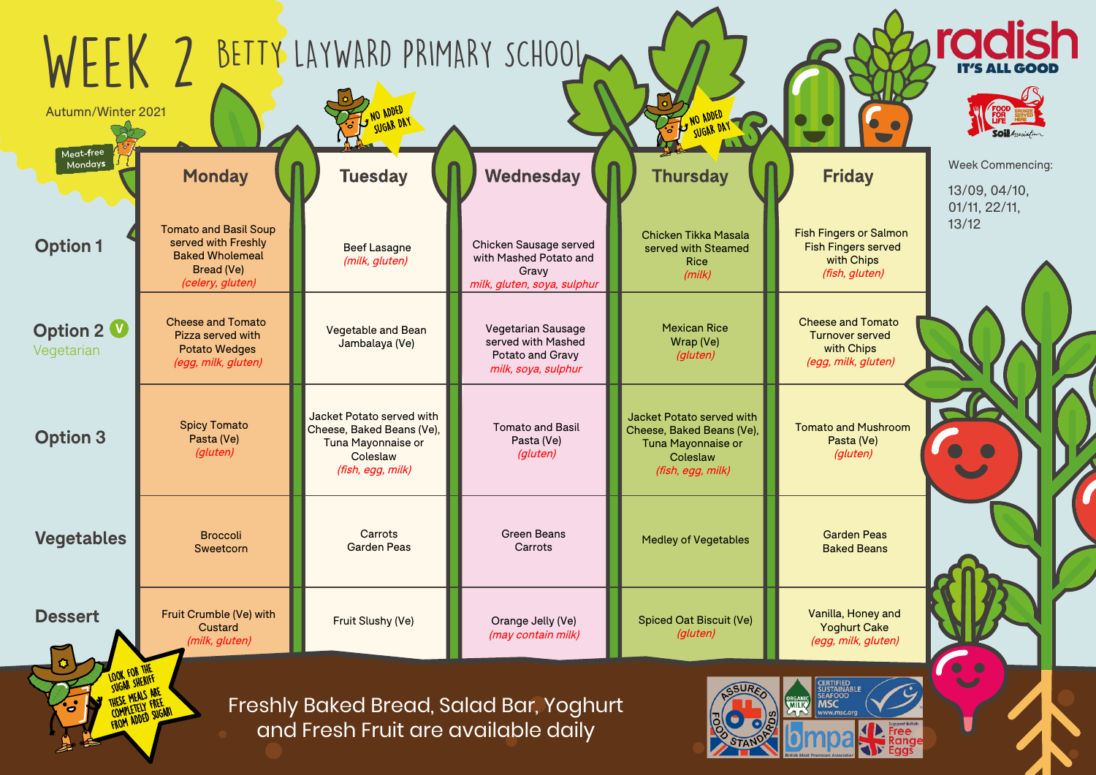| WFFK<br>Autumn/Winter 2021      |                                                                                                                 | NO ADDED<br><b>SUGAR DAY</b>                                                                                  | BETTY LAYWARD PRIMARY SCHOOL                                                               | WO ADDED<br>SUGAR DAY                                                                                         |                                        |
|---------------------------------|-----------------------------------------------------------------------------------------------------------------|---------------------------------------------------------------------------------------------------------------|--------------------------------------------------------------------------------------------|---------------------------------------------------------------------------------------------------------------|----------------------------------------|
| Meat-free<br>Mondays            | <b>Monday</b>                                                                                                   | <b>Tuesday</b>                                                                                                | Wednesday                                                                                  | <b>Thursday</b>                                                                                               | F                                      |
| <b>Option 1</b>                 | <b>Tomato and Basil Soup</b><br>served with Freshly<br><b>Baked Wholemeal</b><br>Bread (Ve)<br>(celery, gluten) | <b>Beef Lasagne</b><br>(milk, gluten)                                                                         | Chicken Sausage served<br>with Mashed Potato and<br>Gravy<br>milk, gluten, soya, sulphur   | Chicken Tikka Masala<br>served with Steamed<br><b>Rice</b><br>(milk)                                          | Fish Fin<br><b>Fish F</b><br>W<br>(fi) |
| <b>Option 2 V</b><br>Vegetarian | <b>Cheese and Tomato</b><br>Pizza served with<br><b>Potato Wedges</b><br>(egg, milk, gluten)                    | <b>Vegetable and Bean</b><br>Jambalaya (Ve)                                                                   | <b>Vegetarian Sausage</b><br>served with Mashed<br>Potato and Gravy<br>milk, soya, sulphur | <b>Mexican Rice</b><br>Wrap (Ve)<br>(gluten)                                                                  | Cheese<br>Turn<br>wi<br>(egg,          |
| <b>Option 3</b>                 | <b>Spicy Tomato</b><br>Pasta (Ve)<br>(gluten)                                                                   | Jacket Potato served with<br>Cheese, Baked Beans (Ve),<br>Tuna Mayonnaise or<br>Coleslaw<br>(fish, egg, milk) | <b>Tomato and Basil</b><br>Pasta (Ve)<br>(gluten)                                          | Jacket Potato served with<br>Cheese, Baked Beans (Ve),<br>Tuna Mayonnaise or<br>Coleslaw<br>(fish, egg, milk) | Tomato<br>P                            |
| <b>Vegetables</b>               | <b>Broccoli</b><br>Sweetcorn                                                                                    | Carrots<br><b>Garden Peas</b>                                                                                 | <b>Green Beans</b><br>Carrots                                                              | <b>Medley of Vegetables</b>                                                                                   | Ga<br>Ba                               |
| <b>Dessert</b>                  | Fruit Crumble (Ve) with<br>Custard<br>(milk, gluten)                                                            | Fruit Slushy (Ve)                                                                                             | Orange Jelly (Ve)<br>(may contain milk)                                                    | <b>Spiced Oat Biscuit (Ve)</b><br>(gluten)                                                                    | Vanill<br>Yo<br>(egg,                  |
| ö                               | MEALS ARE<br>FROM ADDED SUGARI                                                                                  | and Fresh Fruit are available daily                                                                           | Freshly Baked Bread, Salad Bar, Yoghurt                                                    |                                                                                                               |                                        |







## riday

Week Commencing:

13/09, 04/10, 01/11, 22/11, 13/12

e and Tomato nover served with Chips (egg, milk, gluten)

Fish Fingers or Salmon Fish Fingers served with Chips (fish, gluten)

> lla, Honey and Yoghurt Cake (egg, milk, gluten)



and Mushroom Pasta (Ve) (gluten)

arden Peas aked Beans